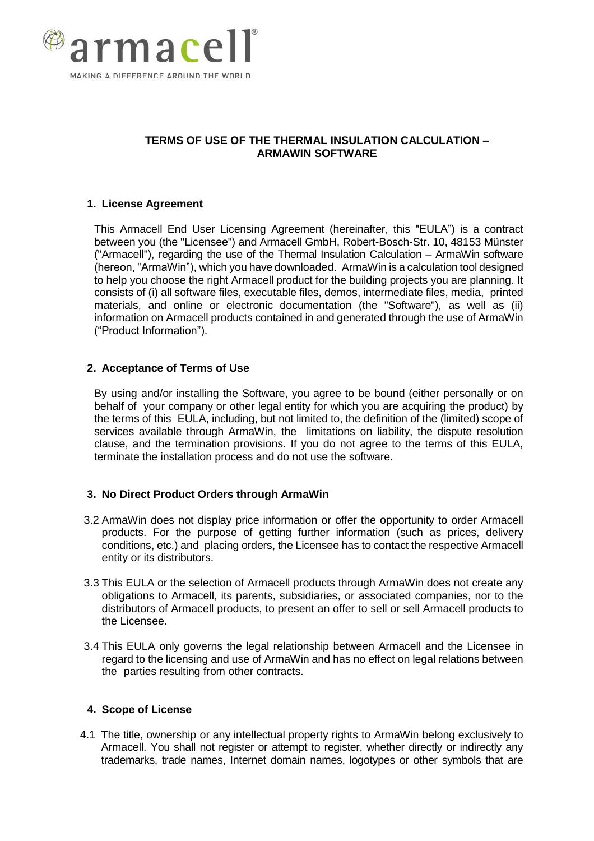

# **TERMS OF USE OF THE THERMAL INSULATION CALCULATION – ARMAWIN SOFTWARE**

# **1. License Agreement**

This Armacell End User Licensing Agreement (hereinafter, this "EULA") is a contract between you (the "Licensee") and Armacell GmbH, Robert-Bosch-Str. 10, 48153 Münster ("Armacell"), regarding the use of the Thermal Insulation Calculation – ArmaWin software (hereon, "ArmaWin"), which you have downloaded. ArmaWin is a calculation tool designed to help you choose the right Armacell product for the building projects you are planning. It consists of (i) all software files, executable files, demos, intermediate files, media, printed materials, and online or electronic documentation (the "Software"), as well as (ii) information on Armacell products contained in and generated through the use of ArmaWin ("Product Information").

# **2. Acceptance of Terms of Use**

By using and/or installing the Software, you agree to be bound (either personally or on behalf of your company or other legal entity for which you are acquiring the product) by the terms of this EULA, including, but not limited to, the definition of the (limited) scope of services available through ArmaWin, the limitations on liability, the dispute resolution clause, and the termination provisions. If you do not agree to the terms of this EULA, terminate the installation process and do not use the software.

# **3. No Direct Product Orders through ArmaWin**

- 3.2 ArmaWin does not display price information or offer the opportunity to order Armacell products. For the purpose of getting further information (such as prices, delivery conditions, etc.) and placing orders, the Licensee has to contact the respective Armacell entity or its distributors.
- 3.3 This EULA or the selection of Armacell products through ArmaWin does not create any obligations to Armacell, its parents, subsidiaries, or associated companies, nor to the distributors of Armacell products, to present an offer to sell or sell Armacell products to the Licensee.
- 3.4 This EULA only governs the legal relationship between Armacell and the Licensee in regard to the licensing and use of ArmaWin and has no effect on legal relations between the parties resulting from other contracts.

# **4. Scope of License**

4.1 The title, ownership or any intellectual property rights to ArmaWin belong exclusively to Armacell. You shall not register or attempt to register, whether directly or indirectly any trademarks, trade names, Internet domain names, logotypes or other symbols that are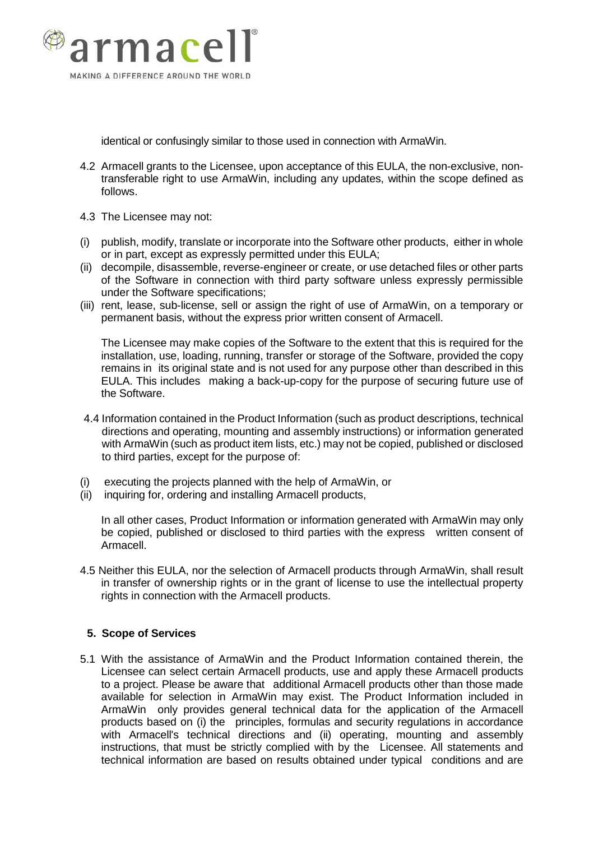

identical or confusingly similar to those used in connection with ArmaWin.

- 4.2 Armacell grants to the Licensee, upon acceptance of this EULA, the non-exclusive, nontransferable right to use ArmaWin, including any updates, within the scope defined as follows.
- 4.3 The Licensee may not:
- (i) publish, modify, translate or incorporate into the Software other products, either in whole or in part, except as expressly permitted under this EULA;
- (ii) decompile, disassemble, reverse-engineer or create, or use detached files or other parts of the Software in connection with third party software unless expressly permissible under the Software specifications;
- (iii) rent, lease, sub-license, sell or assign the right of use of ArmaWin, on a temporary or permanent basis, without the express prior written consent of Armacell.

The Licensee may make copies of the Software to the extent that this is required for the installation, use, loading, running, transfer or storage of the Software, provided the copy remains in its original state and is not used for any purpose other than described in this EULA. This includes making a back-up-copy for the purpose of securing future use of the Software.

- 4.4 Information contained in the Product Information (such as product descriptions, technical directions and operating, mounting and assembly instructions) or information generated with ArmaWin (such as product item lists, etc.) may not be copied, published or disclosed to third parties, except for the purpose of:
- (i) executing the projects planned with the help of ArmaWin, or
- (ii) inquiring for, ordering and installing Armacell products,

In all other cases, Product Information or information generated with ArmaWin may only be copied, published or disclosed to third parties with the express written consent of Armacell.

4.5 Neither this EULA, nor the selection of Armacell products through ArmaWin, shall result in transfer of ownership rights or in the grant of license to use the intellectual property rights in connection with the Armacell products.

# **5. Scope of Services**

5.1 With the assistance of ArmaWin and the Product Information contained therein, the Licensee can select certain Armacell products, use and apply these Armacell products to a project. Please be aware that additional Armacell products other than those made available for selection in ArmaWin may exist. The Product Information included in ArmaWin only provides general technical data for the application of the Armacell products based on (i) the principles, formulas and security regulations in accordance with Armacell's technical directions and (ii) operating, mounting and assembly instructions, that must be strictly complied with by the Licensee. All statements and technical information are based on results obtained under typical conditions and are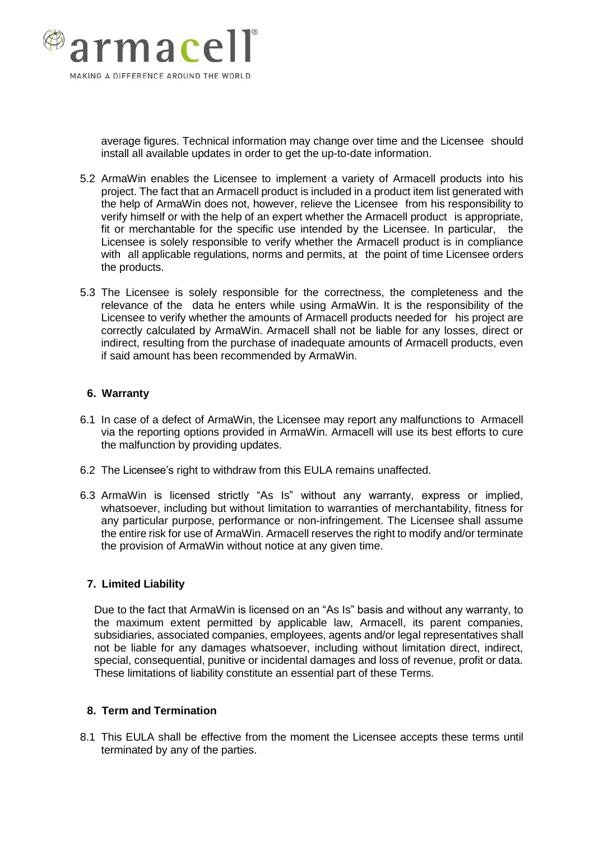

average figures. Technical information may change over time and the Licensee should install all available updates in order to get the up-to-date information.

- 5.2 ArmaWin enables the Licensee to implement a variety of Armacell products into his project. The fact that an Armacell product is included in a product item list generated with the help of ArmaWin does not, however, relieve the Licensee from his responsibility to verify himself or with the help of an expert whether the Armacell product is appropriate, fit or merchantable for the specific use intended by the Licensee. In particular, the Licensee is solely responsible to verify whether the Armacell product is in compliance with all applicable regulations, norms and permits, at the point of time Licensee orders the products.
- 5.3 The Licensee is solely responsible for the correctness, the completeness and the relevance of the data he enters while using ArmaWin. It is the responsibility of the Licensee to verify whether the amounts of Armacell products needed for his project are correctly calculated by ArmaWin. Armacell shall not be liable for any losses, direct or indirect, resulting from the purchase of inadequate amounts of Armacell products, even if said amount has been recommended by ArmaWin.

#### **6. Warranty**

- 6.1 In case of a defect of ArmaWin, the Licensee may report any malfunctions to Armacell via the reporting options provided in ArmaWin. Armacell will use its best efforts to cure the malfunction by providing updates.
- 6.2 The Licensee's right to withdraw from this EULA remains unaffected.
- 6.3 ArmaWin is licensed strictly "As Is" without any warranty, express or implied, whatsoever, including but without limitation to warranties of merchantability, fitness for any particular purpose, performance or non-infringement. The Licensee shall assume the entire risk for use of ArmaWin. Armacell reserves the right to modify and/or terminate the provision of ArmaWin without notice at any given time.

# **7. Limited Liability**

Due to the fact that ArmaWin is licensed on an "As Is" basis and without any warranty, to the maximum extent permitted by applicable law, Armacell, its parent companies, subsidiaries, associated companies, employees, agents and/or legal representatives shall not be liable for any damages whatsoever, including without limitation direct, indirect, special, consequential, punitive or incidental damages and loss of revenue, profit or data. These limitations of liability constitute an essential part of these Terms.

#### **8. Term and Termination**

8.1 This EULA shall be effective from the moment the Licensee accepts these terms until terminated by any of the parties.